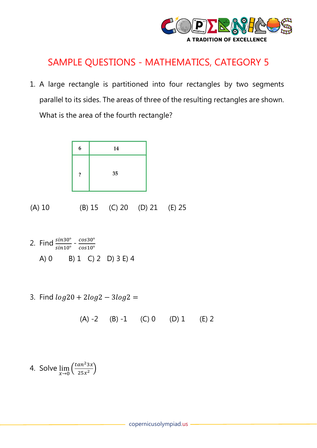

## SAMPLE QUESTIONS - MATHEMATICS, CATEGORY 5

1. A large rectangle is partitioned into four rectangles by two segments parallel to its sides. The areas of three of the resulting rectangles are shown. What is the area of the fourth rectangle?



(A) 10 (B) 15 (C) 20 (D) 21 (E) 25

- 2. Find  $\frac{sin30^{\circ}}{sin10^{\circ}} \frac{cos30^{\circ}}{cos10^{\circ}}$  $cos10^\circ$ A) 0 B) 1 C) 2 D) 3 E) 4
- 3. Find  $log 20 + 2log 2 3log 2 =$

$$
(A) -2 \qquad (B) -1 \qquad (C) 0 \qquad (D) 1 \qquad (E) 2
$$

4. Solve  $\lim_{x\to 0} \left( \frac{\tan^2 3x}{25x^2} \right)$  $\frac{u}{25x^2}$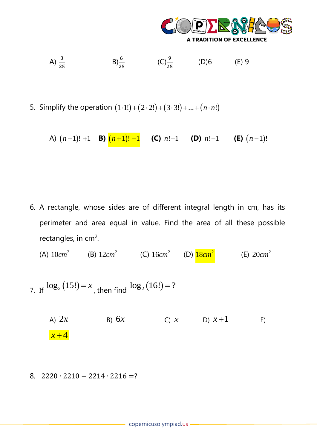

A) 
$$
\frac{3}{25}
$$
 \tB)  $\frac{6}{25}$  \t(C)  $\frac{9}{25}$  \t(D) 6 \t(E) 9

5. Simplify the operation  $(1\cdot 1!) + (2\cdot 2!) + (3\cdot 3!) + ... + (n\cdot n!)$ 

A)  $(n-1)!$  +1 **B)**  $(n+1)!$  −1 **(C)**  $n!+1$  **(D)**  $n!-1$  **(E)**  $(n-1)!$ 

6. A rectangle, whose sides are of different integral length in cm, has its perimeter and area equal in value. Find the area of all these possible rectangles, in cm<sup>2</sup>.

 $(A)$  10*cm*<sup>2</sup> (B)  $12cm^2$  (C)  $16cm^2$  (D)  $18cm^2$ (E) 2 20*cm*

- 7. If  $\log_2(15!) = x$ , then find  $\log_2(16!) = ?$ 
	- A)  $2x$ 2 $x$  B)  $6x$ C) *x* = D)  $x + 1$ E)  $x + 4$
- 8.  $2220 \cdot 2210 2214 \cdot 2216 = ?$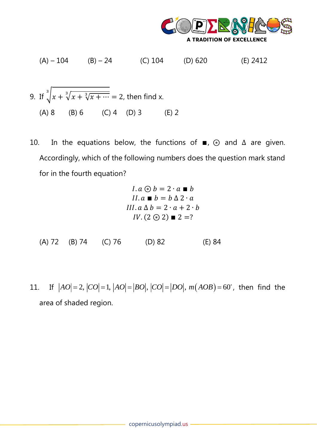

 $(A) - 104$  (B) – 24 (C) 104 (D) 620 (E) 2412

9. If 
$$
\sqrt[3]{x + \sqrt[3]{x + \sqrt[3]{x + \cdots}}}
$$
 = 2, then find x.  
\n(A) 8 (B) 6 (C) 4 (D) 3 (E) 2

10. In the equations below, the functions of  $\blacksquare$ ,  $\odot$  and  $\Delta$  are given. Accordingly, which of the following numbers does the question mark stand for in the fourth equation?

$$
I. a \circledast b = 2 \cdot a \blacksquare b
$$
  
\n
$$
II. a \blacksquare b = b \triangle 2 \cdot a
$$
  
\n
$$
III. a \triangle b = 2 \cdot a + 2 \cdot b
$$
  
\n
$$
IV. (2 \circledast 2) \blacksquare 2 = ?
$$

- (A) 72 (B) 74 (C) 76 (D) 82 (E) 84
- 11. If  $AO| = 2, |CO| = 1, |AO| = |BO|, |CO| = |DO|, m(AOB) = 60^{\circ},$  then find the area of shaded region.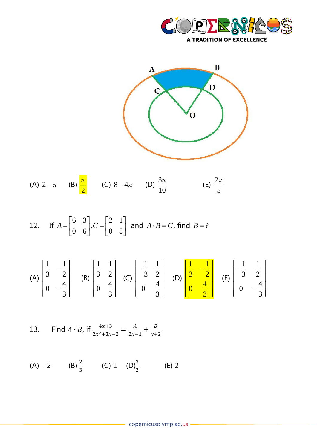



(A) 
$$
2-\pi
$$
 (B)  $\frac{\pi}{2}$  (C)  $8-4\pi$  (D)  $\frac{3\pi}{10}$  (E)  $\frac{2\pi}{5}$ 

12. If 
$$
A = \begin{bmatrix} 6 & 3 \\ 0 & 6 \end{bmatrix}
$$
,  $C = \begin{bmatrix} 2 & 1 \\ 0 & 8 \end{bmatrix}$  and  $A \cdot B = C$ , find  $B = ?$ 

(A) 
$$
\begin{bmatrix} \frac{1}{3} & -\frac{1}{2} \\ 0 & -\frac{4}{3} \end{bmatrix}
$$
 (B)  $\begin{bmatrix} \frac{1}{3} & \frac{1}{2} \\ 0 & \frac{4}{3} \end{bmatrix}$  (C)  $\begin{bmatrix} -\frac{1}{3} & \frac{1}{2} \\ 0 & \frac{4}{3} \end{bmatrix}$  (D)  $\begin{bmatrix} \frac{1}{3} & -\frac{1}{2} \\ 0 & \frac{4}{3} \end{bmatrix}$  (E)  $\begin{bmatrix} -\frac{1}{3} & \frac{1}{2} \\ 0 & -\frac{4}{3} \end{bmatrix}$ 

13. Find 
$$
A \cdot B
$$
, if  $\frac{4x+3}{2x^2+3x-2} = \frac{A}{2x-1} + \frac{B}{x+2}$ 

(A) – 2 (B)  $\frac{2}{3}$  (C) 1 (D) $\frac{3}{2}$  (E) 2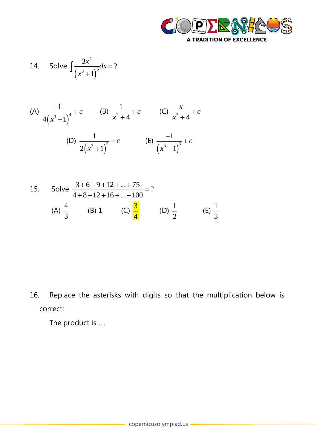

14. Solve 
$$
\int \frac{3x^2}{(x^3+1)^5} dx = ?
$$

(A) 
$$
\frac{-1}{4(x^3+1)^4} + c
$$
 (B)  $\frac{1}{x^2+4} + c$  (C)  $\frac{x}{x^2+4} + c$   
(D)  $\frac{1}{2(x^3+1)^2} + c$  (E)  $\frac{-1}{(x^3+1)^3} + c$ 

15. Solve 
$$
\frac{3+6+9+12+...+75}{4+8+12+16+...+100} = ?
$$
  
\n(A)  $\frac{4}{3}$  (B) 1 (C)  $\frac{3}{4}$  (D)  $\frac{1}{2}$  (E)  $\frac{1}{3}$ 

16. Replace the asterisks with digits so that the multiplication below is correct:

The product is ….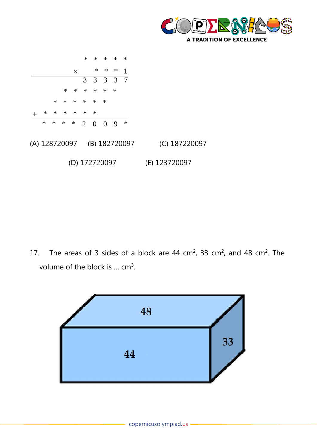



17. The areas of 3 sides of a block are 44 cm<sup>2</sup>, 33 cm<sup>2</sup>, and 48 cm<sup>2</sup>. The volume of the block is  $\ldots$  cm<sup>3</sup>.

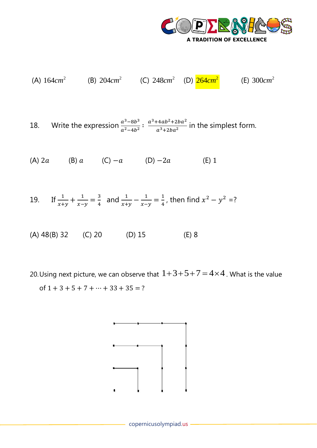

(A) 
$$
164cm^2
$$
 (B)  $204cm^2$  (C)  $248cm^2$  (D)  $\frac{264cm^2}{}$  (E)  $300cm^2$ 

18. Write the expression  $\frac{a^3-8b^3}{a^2-4b^2}$  $\frac{a^3-8b^3}{a^2-4b^2}$ :  $\frac{a^3+4ab^2+2ba^2}{a^3+2ba^2}$  $\frac{1}{a^3+2ba^2}$  in the simplest form.

(A) 2a (B) a (C) − a (D) − 2a (E) 1

19. If 
$$
\frac{1}{x+y} + \frac{1}{x-y} = \frac{3}{4}
$$
 and  $\frac{1}{x+y} - \frac{1}{x-y} = \frac{1}{4}$ , then find  $x^2 - y^2 = ?$ 

(A) 48(B) 32 (C) 20 (D) 15 (E) 8

20. Using next picture, we can observe that  $1+3+5+7=4\times 4$  . What is the value of  $1 + 3 + 5 + 7 + \cdots + 33 + 35 = ?$ 

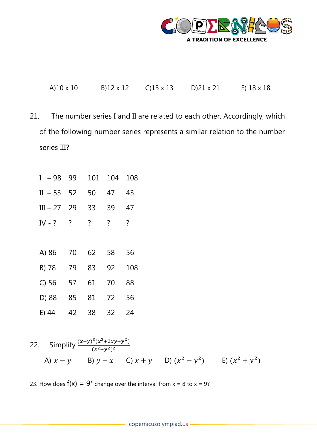

A)10 x 10 B)12 x 12 C)13 x 13 D)21 x 21 E) 18 x 18

21. The number series I and II are related to each other. Accordingly, which of the following number series represents a similar relation to the number series III?

| – 98<br>I  | 99             | 101            | 104            | 108                |
|------------|----------------|----------------|----------------|--------------------|
| $II - 53$  | 52             | 50             | 47             | 43                 |
| $III - 27$ | 29             | 33             | 39             | 47                 |
| IV - ?     | $\overline{?}$ | $\overline{?}$ | $\overline{?}$ | $\overline{\cdot}$ |
|            |                |                |                |                    |
| A) 86      | 70             | 62             | 58             | 56                 |
| B) 78      | 79             | 83             | 92             | 108                |
| $C$ ) 56   | 57             | 61             | 70             | 88                 |
| D) 88      | 85             | 81             | 72             | 56                 |
| E) 44      | 42             | 38             | 32             | 24                 |

22. Simplify 
$$
\frac{(x-y)^3(x^2+2xy+y^2)}{(x^2-y^2)^2}
$$
  
A)  $x-y$  B)  $y-x$  C)  $x+y$  D)  $(x^2-y^2)$  E)  $(x^2+y^2)$ 

23. How does  $f(x) = 9^x$  change over the interval from  $x = 8$  to  $x = 9$ ?